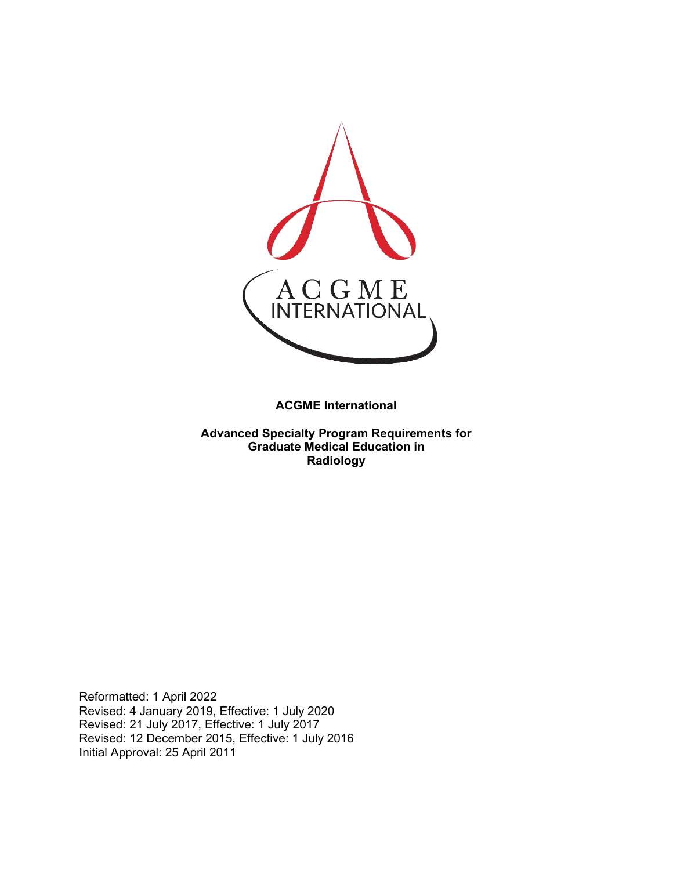

**ACGME International** 

**Advanced Specialty Program Requirements for Graduate Medical Education in Radiology**

Reformatted: 1 April 2022 Revised: 4 January 2019, Effective: 1 July 2020 Revised: 21 July 2017, Effective: 1 July 2017 Revised: 12 December 2015, Effective: 1 July 2016 Initial Approval: 25 April 2011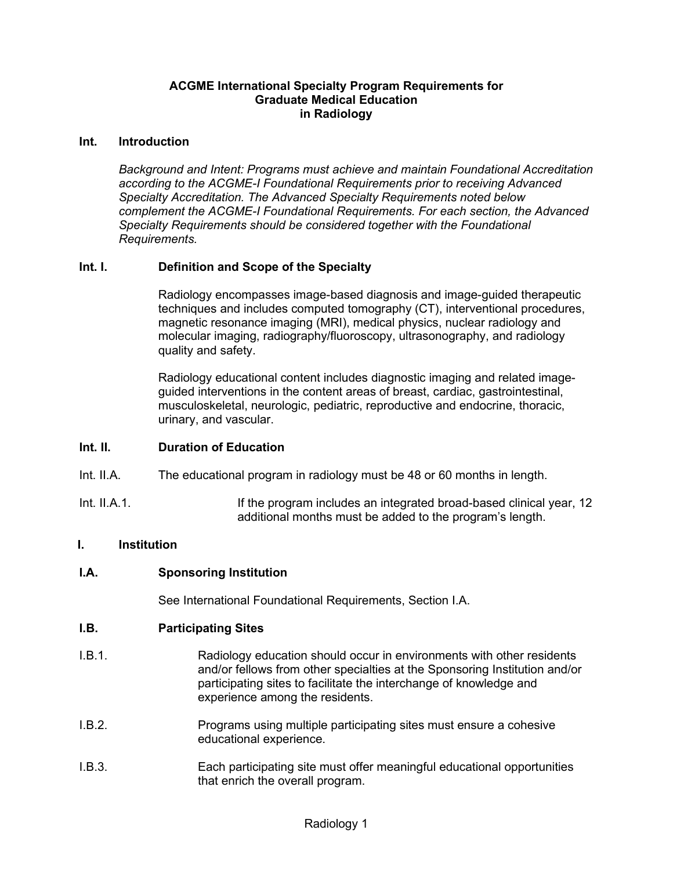#### **ACGME International Specialty Program Requirements for Graduate Medical Education in Radiology**

#### **Int. Introduction**

*Background and Intent: Programs must achieve and maintain Foundational Accreditation according to the ACGME-I Foundational Requirements prior to receiving Advanced Specialty Accreditation. The Advanced Specialty Requirements noted below complement the ACGME-I Foundational Requirements. For each section, the Advanced Specialty Requirements should be considered together with the Foundational Requirements.*

#### **Int. I. Definition and Scope of the Specialty**

Radiology encompasses image-based diagnosis and image-guided therapeutic techniques and includes computed tomography (CT), interventional procedures, magnetic resonance imaging (MRI), medical physics, nuclear radiology and molecular imaging, radiography/fluoroscopy, ultrasonography, and radiology quality and safety.

Radiology educational content includes diagnostic imaging and related imageguided interventions in the content areas of breast, cardiac, gastrointestinal, musculoskeletal, neurologic, pediatric, reproductive and endocrine, thoracic, urinary, and vascular.

### **Int. II. Duration of Education**

- Int. II.A. The educational program in radiology must be 48 or 60 months in length.
- Int. II.A.1. **Integration** If the program includes an integrated broad-based clinical year, 12 additional months must be added to the program's length.

### **I. Institution**

#### **I.A. Sponsoring Institution**

See International Foundational Requirements, Section I.A.

#### **I.B. Participating Sites**

- I.B.1. Radiology education should occur in environments with other residents and/or fellows from other specialties at the Sponsoring Institution and/or participating sites to facilitate the interchange of knowledge and experience among the residents.
- I.B.2. Programs using multiple participating sites must ensure a cohesive educational experience.
- I.B.3. Each participating site must offer meaningful educational opportunities that enrich the overall program.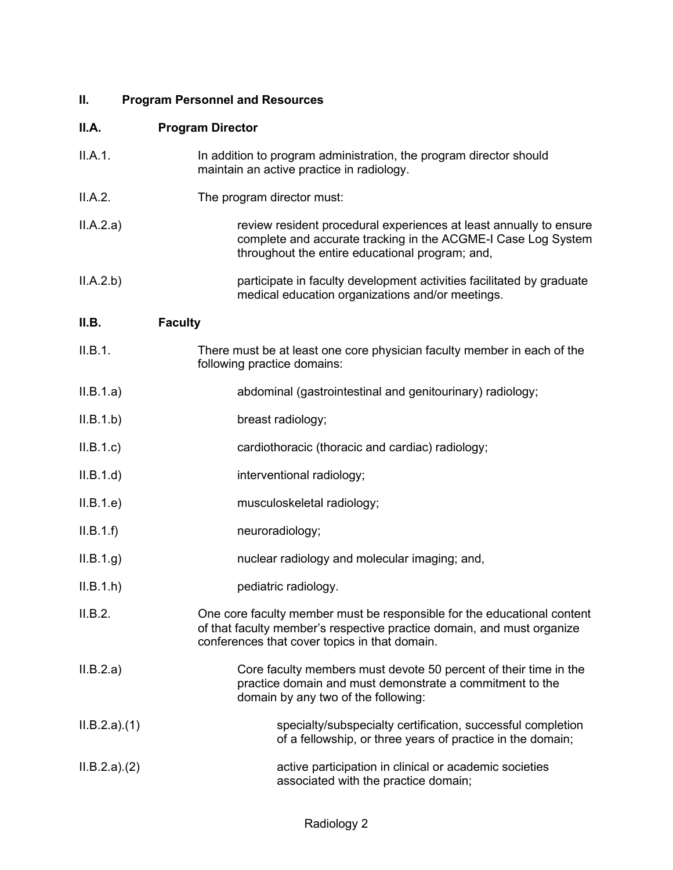# **II. Program Personnel and Resources**

| II.A.       | <b>Program Director</b>                                                                                                                                                                            |
|-------------|----------------------------------------------------------------------------------------------------------------------------------------------------------------------------------------------------|
| II.A.1.     | In addition to program administration, the program director should<br>maintain an active practice in radiology.                                                                                    |
| II.A.2.     | The program director must:                                                                                                                                                                         |
| II.A.2.a)   | review resident procedural experiences at least annually to ensure<br>complete and accurate tracking in the ACGME-I Case Log System<br>throughout the entire educational program; and,             |
| II.A.2.b)   | participate in faculty development activities facilitated by graduate<br>medical education organizations and/or meetings.                                                                          |
| II.B.       | <b>Faculty</b>                                                                                                                                                                                     |
| II.B.1.     | There must be at least one core physician faculty member in each of the<br>following practice domains:                                                                                             |
| II.B.1.a)   | abdominal (gastrointestinal and genitourinary) radiology;                                                                                                                                          |
| II.B.1.b)   | breast radiology;                                                                                                                                                                                  |
| II.B.1.c    | cardiothoracic (thoracic and cardiac) radiology;                                                                                                                                                   |
| II.B.1.d    | interventional radiology;                                                                                                                                                                          |
| II.B.1.e)   | musculoskeletal radiology;                                                                                                                                                                         |
| II.B.1.f    | neuroradiology;                                                                                                                                                                                    |
| II.B.1.g.   | nuclear radiology and molecular imaging; and,                                                                                                                                                      |
| II.B.1.h    | pediatric radiology.                                                                                                                                                                               |
| II.B.2.     | One core faculty member must be responsible for the educational content<br>of that faculty member's respective practice domain, and must organize<br>conferences that cover topics in that domain. |
| II.B.2.a)   | Core faculty members must devote 50 percent of their time in the<br>practice domain and must demonstrate a commitment to the<br>domain by any two of the following:                                |
| ILB.2.a)(1) | specialty/subspecialty certification, successful completion<br>of a fellowship, or three years of practice in the domain;                                                                          |
| ILB.2.a)(2) | active participation in clinical or academic societies<br>associated with the practice domain;                                                                                                     |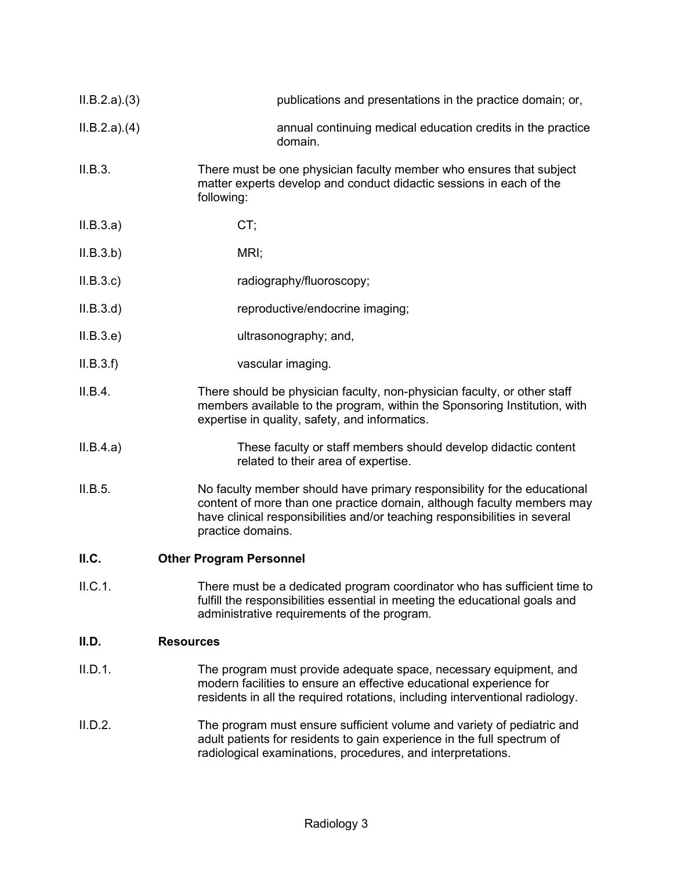| ILB.2.a)(3) | publications and presentations in the practice domain; or,                                                                                                                                                                                            |
|-------------|-------------------------------------------------------------------------------------------------------------------------------------------------------------------------------------------------------------------------------------------------------|
| ILB.2.a)(4) | annual continuing medical education credits in the practice<br>domain.                                                                                                                                                                                |
| II.B.3.     | There must be one physician faculty member who ensures that subject<br>matter experts develop and conduct didactic sessions in each of the<br>following:                                                                                              |
| II.B.3.a)   | CT;                                                                                                                                                                                                                                                   |
| II.B.3.b)   | MRI;                                                                                                                                                                                                                                                  |
| II.B.3.c    | radiography/fluoroscopy;                                                                                                                                                                                                                              |
| ILB.3.d)    | reproductive/endocrine imaging;                                                                                                                                                                                                                       |
| II.B.3.e    | ultrasonography; and,                                                                                                                                                                                                                                 |
| II.B.3.f    | vascular imaging.                                                                                                                                                                                                                                     |
| II.B.4.     | There should be physician faculty, non-physician faculty, or other staff<br>members available to the program, within the Sponsoring Institution, with<br>expertise in quality, safety, and informatics.                                               |
| II.B.4.a)   | These faculty or staff members should develop didactic content<br>related to their area of expertise.                                                                                                                                                 |
| II.B.5.     | No faculty member should have primary responsibility for the educational<br>content of more than one practice domain, although faculty members may<br>have clinical responsibilities and/or teaching responsibilities in several<br>practice domains. |
| ILC.        | <b>Other Program Personnel</b>                                                                                                                                                                                                                        |
| II.C.1.     | There must be a dedicated program coordinator who has sufficient time to<br>fulfill the responsibilities essential in meeting the educational goals and<br>administrative requirements of the program.                                                |
| II.D.       | <b>Resources</b>                                                                                                                                                                                                                                      |

- II.D.1. The program must provide adequate space, necessary equipment, and modern facilities to ensure an effective educational experience for residents in all the required rotations, including interventional radiology.
- II.D.2. The program must ensure sufficient volume and variety of pediatric and adult patients for residents to gain experience in the full spectrum of radiological examinations, procedures, and interpretations.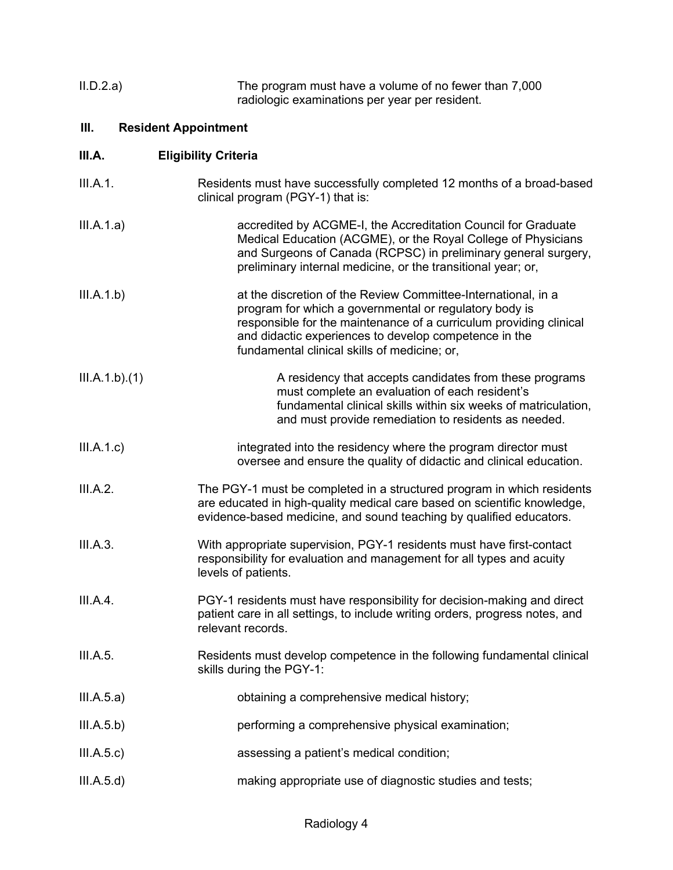| II.D.2.a) | The program must have a volume of no fewer than 7,000 |
|-----------|-------------------------------------------------------|
|           | radiologic examinations per year per resident.        |

# **III. Resident Appointment**

# **III.A. Eligibility Criteria**

| III.A.1.      | Residents must have successfully completed 12 months of a broad-based<br>clinical program (PGY-1) that is:                                                                                                                                                                                             |
|---------------|--------------------------------------------------------------------------------------------------------------------------------------------------------------------------------------------------------------------------------------------------------------------------------------------------------|
| III.A.1.a)    | accredited by ACGME-I, the Accreditation Council for Graduate<br>Medical Education (ACGME), or the Royal College of Physicians<br>and Surgeons of Canada (RCPSC) in preliminary general surgery,<br>preliminary internal medicine, or the transitional year; or,                                       |
| III.A.1.b)    | at the discretion of the Review Committee-International, in a<br>program for which a governmental or regulatory body is<br>responsible for the maintenance of a curriculum providing clinical<br>and didactic experiences to develop competence in the<br>fundamental clinical skills of medicine; or, |
| III.A.1.b)(1) | A residency that accepts candidates from these programs<br>must complete an evaluation of each resident's<br>fundamental clinical skills within six weeks of matriculation,<br>and must provide remediation to residents as needed.                                                                    |
| III.A.1.c)    | integrated into the residency where the program director must<br>oversee and ensure the quality of didactic and clinical education.                                                                                                                                                                    |
| III.A.2.      | The PGY-1 must be completed in a structured program in which residents<br>are educated in high-quality medical care based on scientific knowledge,<br>evidence-based medicine, and sound teaching by qualified educators.                                                                              |
| III.A.3.      | With appropriate supervision, PGY-1 residents must have first-contact<br>responsibility for evaluation and management for all types and acuity<br>levels of patients.                                                                                                                                  |
| III.A.4.      | PGY-1 residents must have responsibility for decision-making and direct<br>patient care in all settings, to include writing orders, progress notes, and<br>relevant records.                                                                                                                           |
| III.A.5.      | Residents must develop competence in the following fundamental clinical<br>skills during the PGY-1:                                                                                                                                                                                                    |
| III.A.5.a)    | obtaining a comprehensive medical history;                                                                                                                                                                                                                                                             |
| III.A.5.b)    | performing a comprehensive physical examination;                                                                                                                                                                                                                                                       |
| III.A.5.c)    | assessing a patient's medical condition;                                                                                                                                                                                                                                                               |
| III.A.5.d)    | making appropriate use of diagnostic studies and tests;                                                                                                                                                                                                                                                |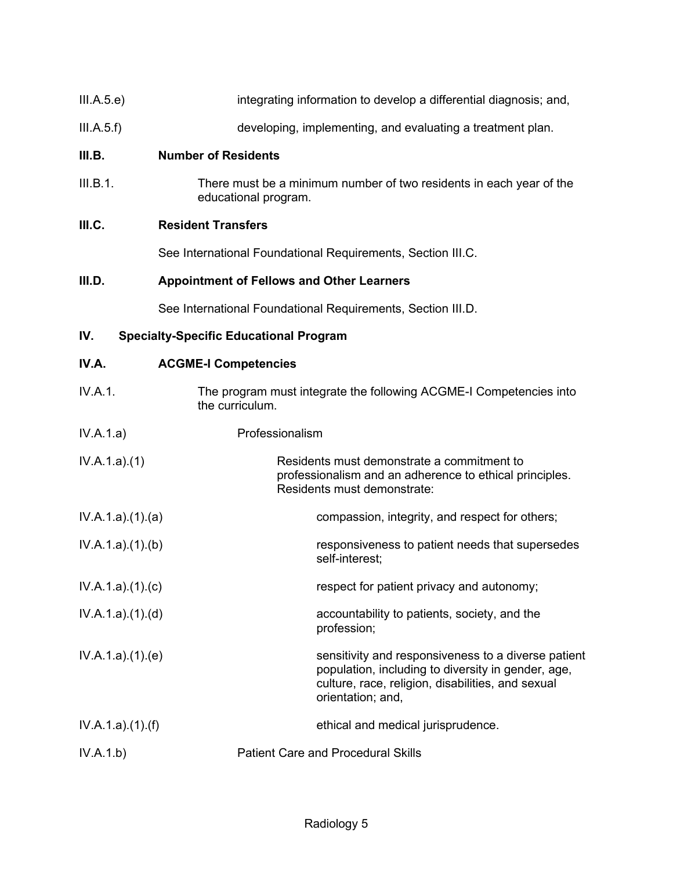| III.A.5.e) | integrating information to develop a differential diagnosis; and, |  |  |
|------------|-------------------------------------------------------------------|--|--|
|            |                                                                   |  |  |

III.A.5.f) developing, implementing, and evaluating a treatment plan.

#### **III.B. Number of Residents**

III.B.1. There must be a minimum number of two residents in each year of the educational program.

# **III.C. Resident Transfers**

See International Foundational Requirements, Section III.C.

# **III.D. Appointment of Fellows and Other Learners**

See International Foundational Requirements, Section III.D.

# **IV. Specialty-Specific Educational Program**

| IV.A.           | <b>ACGME-I Competencies</b>                                                                                                                                                         |
|-----------------|-------------------------------------------------------------------------------------------------------------------------------------------------------------------------------------|
| <b>IV.A.1.</b>  | The program must integrate the following ACGME-I Competencies into<br>the curriculum.                                                                                               |
| IV.A.1.a)       | Professionalism                                                                                                                                                                     |
| IV.A.1.a)(1)    | Residents must demonstrate a commitment to<br>professionalism and an adherence to ethical principles.<br>Residents must demonstrate:                                                |
| IV.A.1.a)(1)(a) | compassion, integrity, and respect for others;                                                                                                                                      |
| IV.A.1.a)(1)(b) | responsiveness to patient needs that supersedes<br>self-interest;                                                                                                                   |
| IV.A.1.a)(1)(c) | respect for patient privacy and autonomy;                                                                                                                                           |
| IV.A.1.a)(1)(d) | accountability to patients, society, and the<br>profession;                                                                                                                         |
| IV.A.1.a)(1)(e) | sensitivity and responsiveness to a diverse patient<br>population, including to diversity in gender, age,<br>culture, race, religion, disabilities, and sexual<br>orientation; and, |
| IV.A.1.a)(1)(f) | ethical and medical jurisprudence.                                                                                                                                                  |
| IV.A.1.b)       | <b>Patient Care and Procedural Skills</b>                                                                                                                                           |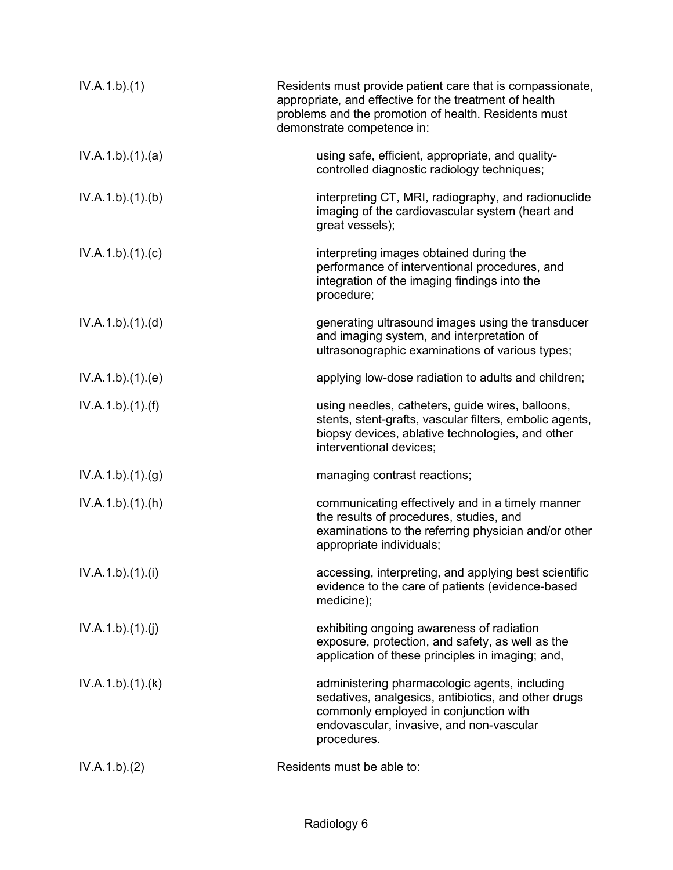| IV.A.1.b)(1)    | Residents must provide patient care that is compassionate,<br>appropriate, and effective for the treatment of health<br>problems and the promotion of health. Residents must<br>demonstrate competence in: |
|-----------------|------------------------------------------------------------------------------------------------------------------------------------------------------------------------------------------------------------|
| IV.A.1.b)(1)(a) | using safe, efficient, appropriate, and quality-<br>controlled diagnostic radiology techniques;                                                                                                            |
| IV.A.1.b)(1)(b) | interpreting CT, MRI, radiography, and radionuclide<br>imaging of the cardiovascular system (heart and<br>great vessels);                                                                                  |
| IV.A.1.b)(1)(c) | interpreting images obtained during the<br>performance of interventional procedures, and<br>integration of the imaging findings into the<br>procedure;                                                     |
| IV.A.1.b)(1)(d) | generating ultrasound images using the transducer<br>and imaging system, and interpretation of<br>ultrasonographic examinations of various types;                                                          |
| IV.A.1.b)(1)(e) | applying low-dose radiation to adults and children;                                                                                                                                                        |
| IV.A.1.b)(1)(f) | using needles, catheters, guide wires, balloons,<br>stents, stent-grafts, vascular filters, embolic agents,<br>biopsy devices, ablative technologies, and other<br>interventional devices;                 |
| IV.A.1.b)(1)(g) | managing contrast reactions;                                                                                                                                                                               |
| IV.A.1.b)(1)(h) | communicating effectively and in a timely manner<br>the results of procedures, studies, and<br>examinations to the referring physician and/or other<br>appropriate individuals;                            |
| IV.A.1.b)(1)(i) | accessing, interpreting, and applying best scientific<br>evidence to the care of patients (evidence-based<br>medicine);                                                                                    |
| IV.A.1.b)(1)(j) | exhibiting ongoing awareness of radiation<br>exposure, protection, and safety, as well as the<br>application of these principles in imaging; and,                                                          |
| IV.A.1.b)(1)(k) | administering pharmacologic agents, including<br>sedatives, analgesics, antibiotics, and other drugs<br>commonly employed in conjunction with<br>endovascular, invasive, and non-vascular<br>procedures.   |
| IV.A.1.b)(2)    | Residents must be able to:                                                                                                                                                                                 |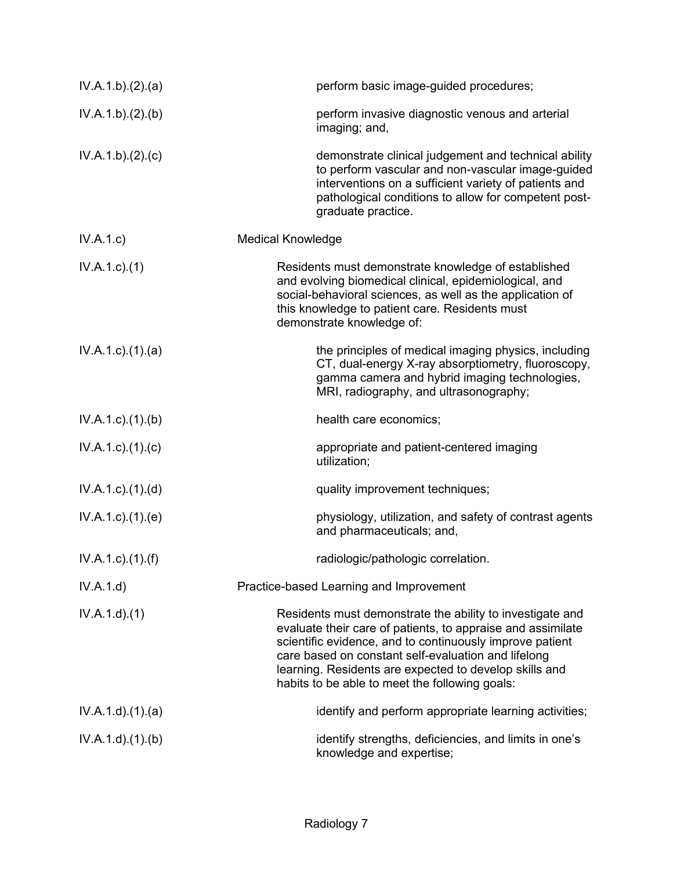| IV.A.1.b)(2).(a)            | perform basic image-guided procedures;                                                                                                                                                                                                                                                                                                                  |
|-----------------------------|---------------------------------------------------------------------------------------------------------------------------------------------------------------------------------------------------------------------------------------------------------------------------------------------------------------------------------------------------------|
| IV.A.1.b).(2).(b)           | perform invasive diagnostic venous and arterial<br>imaging; and,                                                                                                                                                                                                                                                                                        |
| IV.A.1.b)(2).(c)            | demonstrate clinical judgement and technical ability<br>to perform vascular and non-vascular image-guided<br>interventions on a sufficient variety of patients and<br>pathological conditions to allow for competent post-<br>graduate practice.                                                                                                        |
| IV.A.1.c)                   | <b>Medical Knowledge</b>                                                                                                                                                                                                                                                                                                                                |
| $IV.A.1.c.$ (1)             | Residents must demonstrate knowledge of established<br>and evolving biomedical clinical, epidemiological, and<br>social-behavioral sciences, as well as the application of<br>this knowledge to patient care. Residents must<br>demonstrate knowledge of:                                                                                               |
| $IV.A.1.c$ . $(1).$ $(a)$   | the principles of medical imaging physics, including<br>CT, dual-energy X-ray absorptiometry, fluoroscopy,<br>gamma camera and hybrid imaging technologies,<br>MRI, radiography, and ultrasonography;                                                                                                                                                   |
| $IV.A.1.c$ . $(1).$ (b)     | health care economics;                                                                                                                                                                                                                                                                                                                                  |
| $IV.A.1.c$ ). $(1).$ (c)    | appropriate and patient-centered imaging<br>utilization;                                                                                                                                                                                                                                                                                                |
| $IV.A.1.c$ . $(1).$ $(d)$   | quality improvement techniques;                                                                                                                                                                                                                                                                                                                         |
| $IV.A.1.c$ . $(1).$ (e)     | physiology, utilization, and safety of contrast agents<br>and pharmaceuticals; and,                                                                                                                                                                                                                                                                     |
| $IV.A.1.c$ ). $(1)$ . $(f)$ | radiologic/pathologic correlation.                                                                                                                                                                                                                                                                                                                      |
| IV.A.1.d)                   | Practice-based Learning and Improvement                                                                                                                                                                                                                                                                                                                 |
| IV.A.1.d)(1)                | Residents must demonstrate the ability to investigate and<br>evaluate their care of patients, to appraise and assimilate<br>scientific evidence, and to continuously improve patient<br>care based on constant self-evaluation and lifelong<br>learning. Residents are expected to develop skills and<br>habits to be able to meet the following goals: |
| IV.A.1.d)(1)(a)             | identify and perform appropriate learning activities;                                                                                                                                                                                                                                                                                                   |
| IV.A.1.d.(1)(b)             | identify strengths, deficiencies, and limits in one's<br>knowledge and expertise;                                                                                                                                                                                                                                                                       |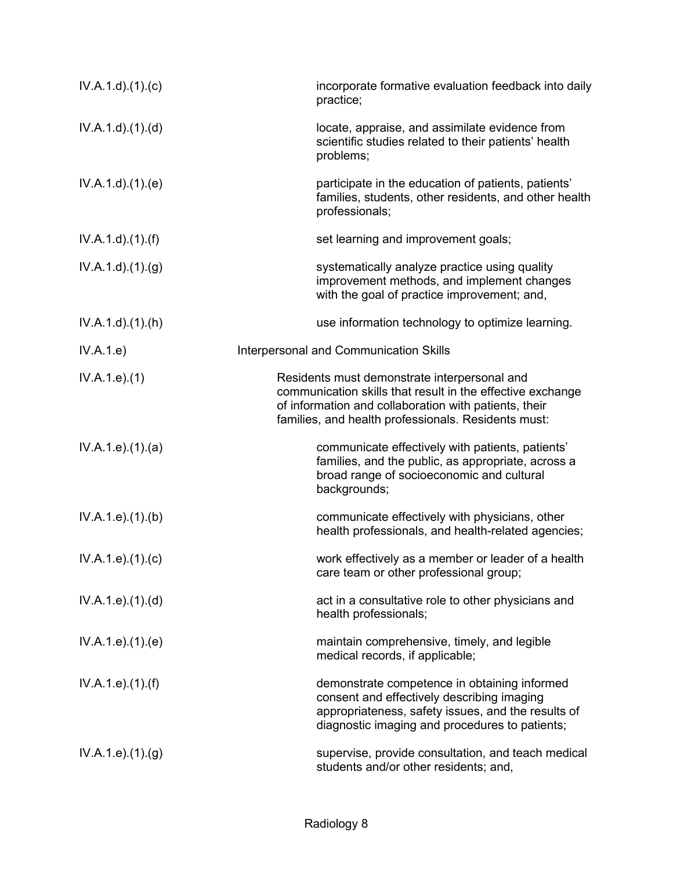| IV.A.1.d)(1)(c)               | incorporate formative evaluation feedback into daily<br>practice;                                                                                                                                                          |
|-------------------------------|----------------------------------------------------------------------------------------------------------------------------------------------------------------------------------------------------------------------------|
| IV.A.1.d.(1).(d)              | locate, appraise, and assimilate evidence from<br>scientific studies related to their patients' health<br>problems;                                                                                                        |
| IV.A.1.d.(1).(e)              | participate in the education of patients, patients'<br>families, students, other residents, and other health<br>professionals;                                                                                             |
| IV.A.1.d)(1.(f))              | set learning and improvement goals;                                                                                                                                                                                        |
| IV.A.1.d)(1)(g)               | systematically analyze practice using quality<br>improvement methods, and implement changes<br>with the goal of practice improvement; and,                                                                                 |
| IV.A.1.d)(1)(h)               | use information technology to optimize learning.                                                                                                                                                                           |
| IV.A.1.e)                     | Interpersonal and Communication Skills                                                                                                                                                                                     |
| IV.A.1.e. (1)                 | Residents must demonstrate interpersonal and<br>communication skills that result in the effective exchange<br>of information and collaboration with patients, their<br>families, and health professionals. Residents must: |
| IV.A.1.e. (1). (a)            | communicate effectively with patients, patients'<br>families, and the public, as appropriate, across a<br>broad range of socioeconomic and cultural<br>backgrounds;                                                        |
| IV.A.1.e).(1).(b)             | communicate effectively with physicians, other<br>health professionals, and health-related agencies;                                                                                                                       |
| IV.A.1.e. (1). (c)            | work effectively as a member or leader of a health<br>care team or other professional group;                                                                                                                               |
| IV.A.1.e. (1). (d)            | act in a consultative role to other physicians and<br>health professionals;                                                                                                                                                |
| IV.A.1.e).(1).(e)             | maintain comprehensive, timely, and legible<br>medical records, if applicable;                                                                                                                                             |
| IV.A.1.e. (1). (f)            | demonstrate competence in obtaining informed<br>consent and effectively describing imaging<br>appropriateness, safety issues, and the results of<br>diagnostic imaging and procedures to patients;                         |
| IV.A.1.e. (1). <sub>(g)</sub> | supervise, provide consultation, and teach medical<br>students and/or other residents; and,                                                                                                                                |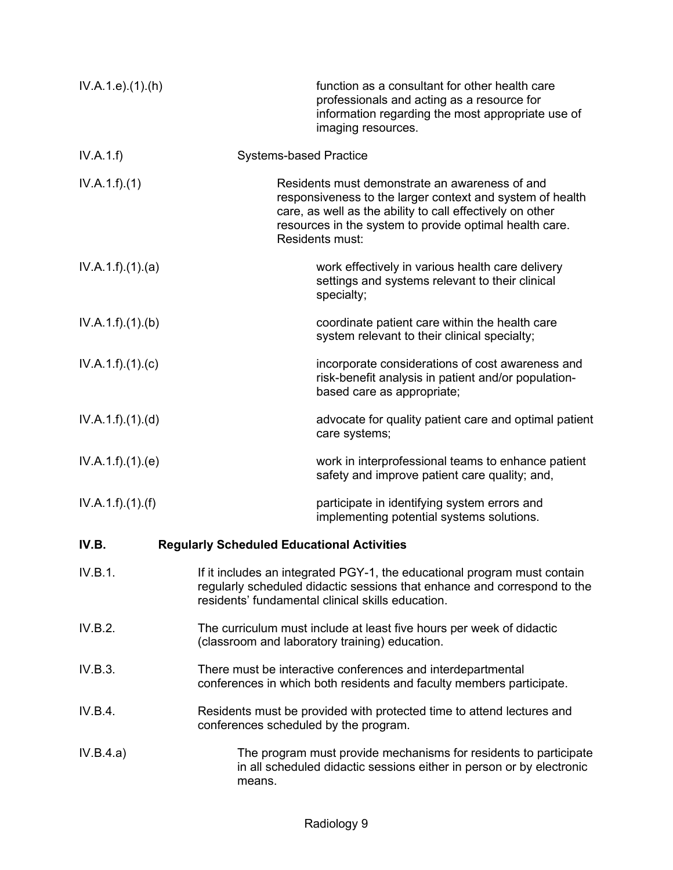| IV.A.1.e. (1).(h) | function as a consultant for other health care<br>professionals and acting as a resource for<br>information regarding the most appropriate use of<br>imaging resources.                                                                                |  |
|-------------------|--------------------------------------------------------------------------------------------------------------------------------------------------------------------------------------------------------------------------------------------------------|--|
| IV.A.1.f)         | <b>Systems-based Practice</b>                                                                                                                                                                                                                          |  |
| IV.A.1.f)(1)      | Residents must demonstrate an awareness of and<br>responsiveness to the larger context and system of health<br>care, as well as the ability to call effectively on other<br>resources in the system to provide optimal health care.<br>Residents must: |  |
| IV.A.1.f)(1)(a)   | work effectively in various health care delivery<br>settings and systems relevant to their clinical<br>specialty;                                                                                                                                      |  |
| IV.A.1.f)(1)(b)   | coordinate patient care within the health care<br>system relevant to their clinical specialty;                                                                                                                                                         |  |
| IV.A.1.f)(1)(c)   | incorporate considerations of cost awareness and<br>risk-benefit analysis in patient and/or population-<br>based care as appropriate;                                                                                                                  |  |
| IV.A.1.f)(1)(d)   | advocate for quality patient care and optimal patient<br>care systems;                                                                                                                                                                                 |  |
| IV.A.1.f)(1)(e)   | work in interprofessional teams to enhance patient<br>safety and improve patient care quality; and,                                                                                                                                                    |  |
| IV.A.1.f).(1).(f) | participate in identifying system errors and<br>implementing potential systems solutions.                                                                                                                                                              |  |
| IV.B.             | <b>Regularly Scheduled Educational Activities</b>                                                                                                                                                                                                      |  |
| IV.B.1.           | If it includes an integrated PGY-1, the educational program must contain<br>regularly scheduled didactic sessions that enhance and correspond to the<br>residents' fundamental clinical skills education.                                              |  |
| IV.B.2.           | The curriculum must include at least five hours per week of didactic<br>(classroom and laboratory training) education.                                                                                                                                 |  |
| IV.B.3.           | There must be interactive conferences and interdepartmental<br>conferences in which both residents and faculty members participate.                                                                                                                    |  |
| IV.B.4.           | Residents must be provided with protected time to attend lectures and<br>conferences scheduled by the program.                                                                                                                                         |  |
| IV.B.4.a)         | The program must provide mechanisms for residents to participate<br>in all scheduled didactic sessions either in person or by electronic<br>means.                                                                                                     |  |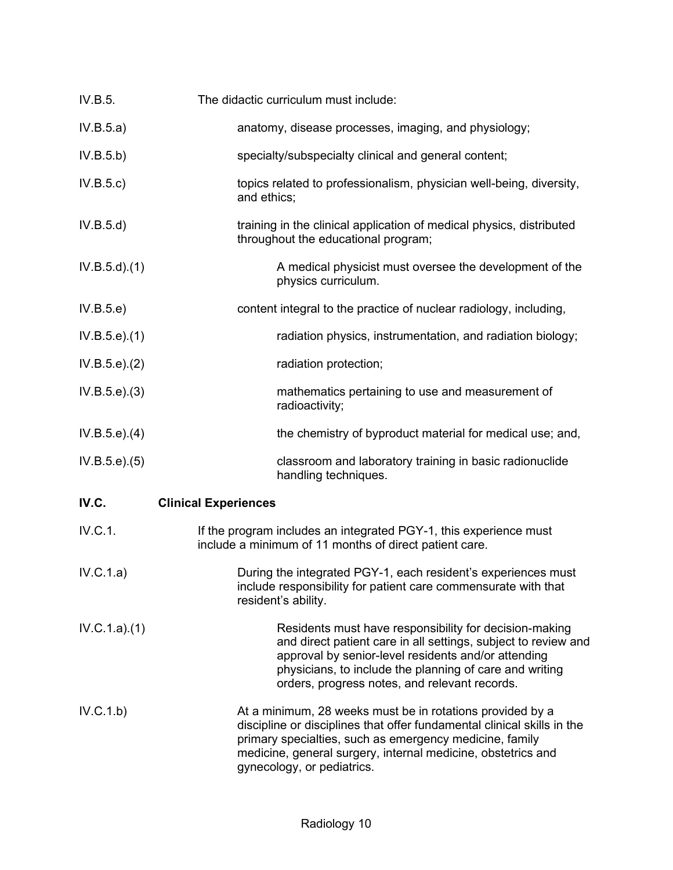| IV.B.5.          | The didactic curriculum must include:                                                                                                                                                                                                                                                         |
|------------------|-----------------------------------------------------------------------------------------------------------------------------------------------------------------------------------------------------------------------------------------------------------------------------------------------|
| IV.B.5.a)        | anatomy, disease processes, imaging, and physiology;                                                                                                                                                                                                                                          |
| IV.B.5.b)        | specialty/subspecialty clinical and general content;                                                                                                                                                                                                                                          |
| IV.B.5.c)        | topics related to professionalism, physician well-being, diversity,<br>and ethics;                                                                                                                                                                                                            |
| IV.B.5.d)        | training in the clinical application of medical physics, distributed<br>throughout the educational program;                                                                                                                                                                                   |
| $IV.B.5.d$ $(1)$ | A medical physicist must oversee the development of the<br>physics curriculum.                                                                                                                                                                                                                |
| IV.B.5.e)        | content integral to the practice of nuclear radiology, including,                                                                                                                                                                                                                             |
| IV.B.5.e).(1)    | radiation physics, instrumentation, and radiation biology;                                                                                                                                                                                                                                    |
| IV.B.5.e). (2)   | radiation protection;                                                                                                                                                                                                                                                                         |
| IV.B.5.e). (3)   | mathematics pertaining to use and measurement of<br>radioactivity;                                                                                                                                                                                                                            |
| IV.B.5.e). (4)   | the chemistry of byproduct material for medical use; and,                                                                                                                                                                                                                                     |
| IV.B.5.e). (5)   | classroom and laboratory training in basic radionuclide<br>handling techniques.                                                                                                                                                                                                               |
| IV.C.            | <b>Clinical Experiences</b>                                                                                                                                                                                                                                                                   |
| IV.C.1.          | If the program includes an integrated PGY-1, this experience must<br>include a minimum of 11 months of direct patient care.                                                                                                                                                                   |
| IV.C.1.a)        | During the integrated PGY-1, each resident's experiences must<br>include responsibility for patient care commensurate with that<br>resident's ability.                                                                                                                                        |
| IV.C.1.a)(1)     | Residents must have responsibility for decision-making<br>and direct patient care in all settings, subject to review and<br>approval by senior-level residents and/or attending<br>physicians, to include the planning of care and writing<br>orders, progress notes, and relevant records.   |
| IV.C.1.b)        | At a minimum, 28 weeks must be in rotations provided by a<br>discipline or disciplines that offer fundamental clinical skills in the<br>primary specialties, such as emergency medicine, family<br>medicine, general surgery, internal medicine, obstetrics and<br>gynecology, or pediatrics. |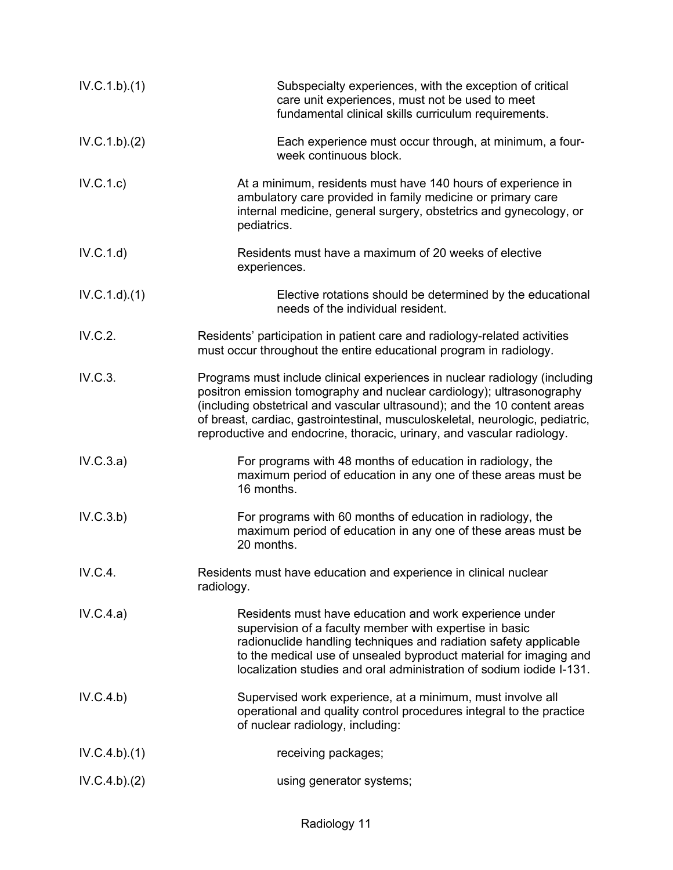| IV.C.1.b)(1) | Subspecialty experiences, with the exception of critical<br>care unit experiences, must not be used to meet<br>fundamental clinical skills curriculum requirements.                                                                                                                                                                                                                         |
|--------------|---------------------------------------------------------------------------------------------------------------------------------------------------------------------------------------------------------------------------------------------------------------------------------------------------------------------------------------------------------------------------------------------|
| IV.C.1.b)(2) | Each experience must occur through, at minimum, a four-<br>week continuous block.                                                                                                                                                                                                                                                                                                           |
| IV.C.1.c)    | At a minimum, residents must have 140 hours of experience in<br>ambulatory care provided in family medicine or primary care<br>internal medicine, general surgery, obstetrics and gynecology, or<br>pediatrics.                                                                                                                                                                             |
| IV.C.1.d)    | Residents must have a maximum of 20 weeks of elective<br>experiences.                                                                                                                                                                                                                                                                                                                       |
| IV.C.1.d)(1) | Elective rotations should be determined by the educational<br>needs of the individual resident.                                                                                                                                                                                                                                                                                             |
| IV.C.2.      | Residents' participation in patient care and radiology-related activities<br>must occur throughout the entire educational program in radiology.                                                                                                                                                                                                                                             |
| IV.C.3.      | Programs must include clinical experiences in nuclear radiology (including<br>positron emission tomography and nuclear cardiology); ultrasonography<br>(including obstetrical and vascular ultrasound); and the 10 content areas<br>of breast, cardiac, gastrointestinal, musculoskeletal, neurologic, pediatric,<br>reproductive and endocrine, thoracic, urinary, and vascular radiology. |
| IV.C.3.a)    | For programs with 48 months of education in radiology, the<br>maximum period of education in any one of these areas must be<br>16 months.                                                                                                                                                                                                                                                   |
| IV.C.3.b)    | For programs with 60 months of education in radiology, the<br>maximum period of education in any one of these areas must be<br>20 months.                                                                                                                                                                                                                                                   |
| IV.C.4.      | Residents must have education and experience in clinical nuclear<br>radiology.                                                                                                                                                                                                                                                                                                              |
| IV.C.4.a)    | Residents must have education and work experience under<br>supervision of a faculty member with expertise in basic<br>radionuclide handling techniques and radiation safety applicable<br>to the medical use of unsealed byproduct material for imaging and<br>localization studies and oral administration of sodium iodide I-131.                                                         |
| IV.C.4.b)    | Supervised work experience, at a minimum, must involve all<br>operational and quality control procedures integral to the practice<br>of nuclear radiology, including:                                                                                                                                                                                                                       |
| IV.C.4.b)(1) | receiving packages;                                                                                                                                                                                                                                                                                                                                                                         |
| IV.C.4.b)(2) | using generator systems;                                                                                                                                                                                                                                                                                                                                                                    |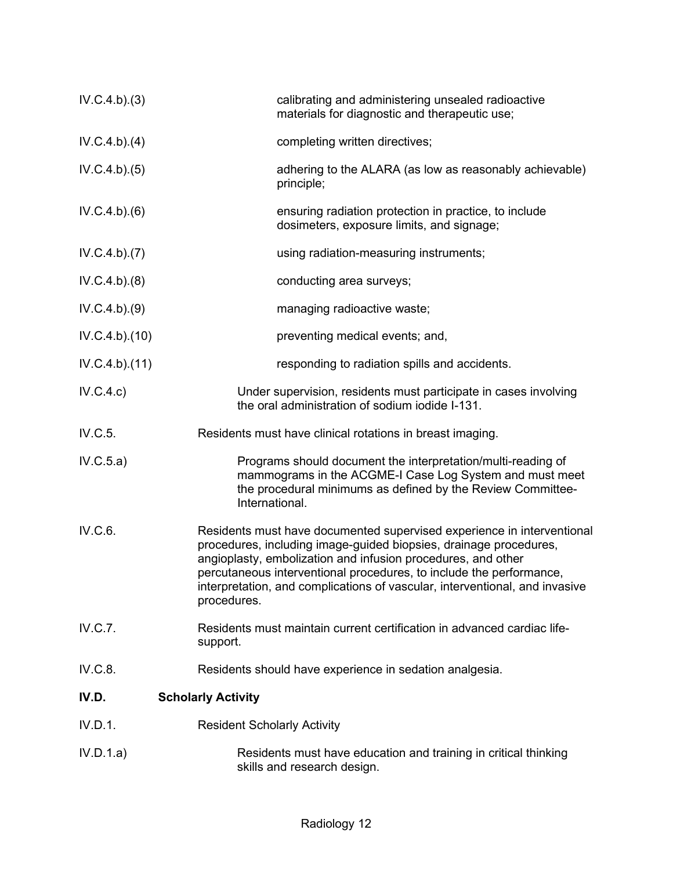| IV.C.4.b)(3)  | calibrating and administering unsealed radioactive<br>materials for diagnostic and therapeutic use;                                                                                                                                                                                                                                                                              |
|---------------|----------------------------------------------------------------------------------------------------------------------------------------------------------------------------------------------------------------------------------------------------------------------------------------------------------------------------------------------------------------------------------|
| IV.C.4.b)(4)  | completing written directives;                                                                                                                                                                                                                                                                                                                                                   |
| IV.C.4.b)(5)  | adhering to the ALARA (as low as reasonably achievable)<br>principle;                                                                                                                                                                                                                                                                                                            |
| IV.C.4.b)(6)  | ensuring radiation protection in practice, to include<br>dosimeters, exposure limits, and signage;                                                                                                                                                                                                                                                                               |
| IV.C.4.b)(7)  | using radiation-measuring instruments;                                                                                                                                                                                                                                                                                                                                           |
| IV.C.4.b)(8)  | conducting area surveys;                                                                                                                                                                                                                                                                                                                                                         |
| IV.C.4.b)(9)  | managing radioactive waste;                                                                                                                                                                                                                                                                                                                                                      |
| IV.C.4.b)(10) | preventing medical events; and,                                                                                                                                                                                                                                                                                                                                                  |
| IV.C.4.b)(11) | responding to radiation spills and accidents.                                                                                                                                                                                                                                                                                                                                    |
| IV.C.4.c)     | Under supervision, residents must participate in cases involving<br>the oral administration of sodium iodide I-131.                                                                                                                                                                                                                                                              |
| IV.C.5.       | Residents must have clinical rotations in breast imaging.                                                                                                                                                                                                                                                                                                                        |
| IV.C.5.a)     | Programs should document the interpretation/multi-reading of<br>mammograms in the ACGME-I Case Log System and must meet<br>the procedural minimums as defined by the Review Committee-<br>International.                                                                                                                                                                         |
| IV.C.6.       | Residents must have documented supervised experience in interventional<br>procedures, including image-guided biopsies, drainage procedures,<br>angioplasty, embolization and infusion procedures, and other<br>percutaneous interventional procedures, to include the performance,<br>interpretation, and complications of vascular, interventional, and invasive<br>procedures. |
| IV.C.7.       | Residents must maintain current certification in advanced cardiac life-<br>support.                                                                                                                                                                                                                                                                                              |
| IV.C.8.       | Residents should have experience in sedation analgesia.                                                                                                                                                                                                                                                                                                                          |
| IV.D.         | <b>Scholarly Activity</b>                                                                                                                                                                                                                                                                                                                                                        |
| IV.D.1.       | <b>Resident Scholarly Activity</b>                                                                                                                                                                                                                                                                                                                                               |
| IV.D.1.a)     | Residents must have education and training in critical thinking<br>skills and research design.                                                                                                                                                                                                                                                                                   |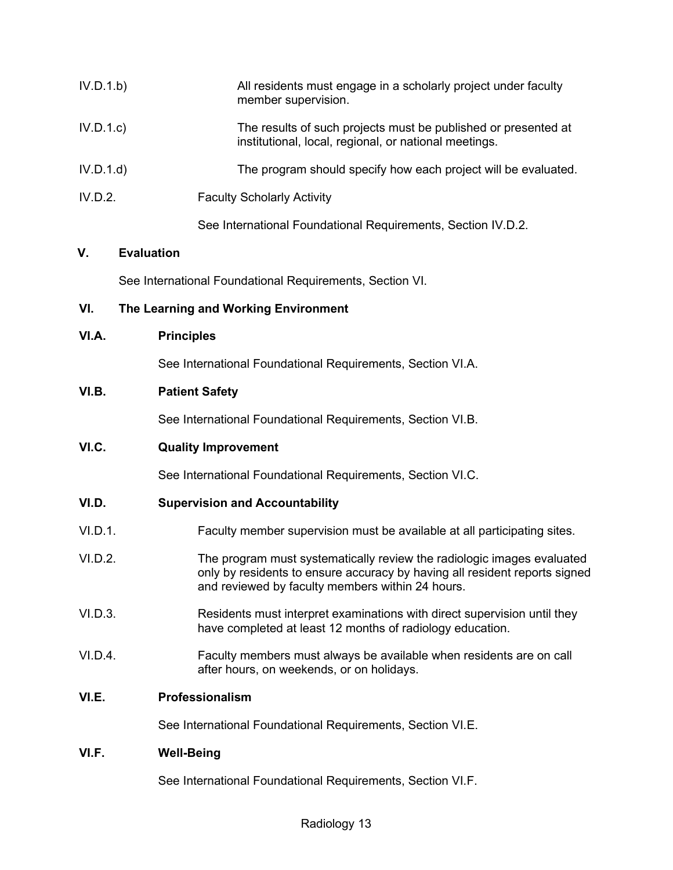| IV.D.1.b) | All residents must engage in a scholarly project under faculty<br>member supervision.                                   |
|-----------|-------------------------------------------------------------------------------------------------------------------------|
| IV.D.1.c  | The results of such projects must be published or presented at<br>institutional, local, regional, or national meetings. |
| IV.D.1.d  | The program should specify how each project will be evaluated.                                                          |
| IV.D.2.   | <b>Faculty Scholarly Activity</b>                                                                                       |
|           | See International Foundational Requirements, Section IV.D.2.                                                            |

# **V. Evaluation**

See International Foundational Requirements, Section VI.

# **VI. The Learning and Working Environment**

#### **VI.A. Principles**

See International Foundational Requirements, Section VI.A.

# **VI.B. Patient Safety**

See International Foundational Requirements, Section VI.B.

### **VI.C. Quality Improvement**

See International Foundational Requirements, Section VI.C.

#### **VI.D. Supervision and Accountability**

- VI.D.1. Faculty member supervision must be available at all participating sites.
- VI.D.2. The program must systematically review the radiologic images evaluated only by residents to ensure accuracy by having all resident reports signed and reviewed by faculty members within 24 hours.
- VI.D.3. Residents must interpret examinations with direct supervision until they have completed at least 12 months of radiology education.
- VI.D.4. Faculty members must always be available when residents are on call after hours, on weekends, or on holidays.

# **VI.E. Professionalism**

See International Foundational Requirements, Section VI.E.

# **VI.F. Well-Being**

See International Foundational Requirements, Section VI.F.